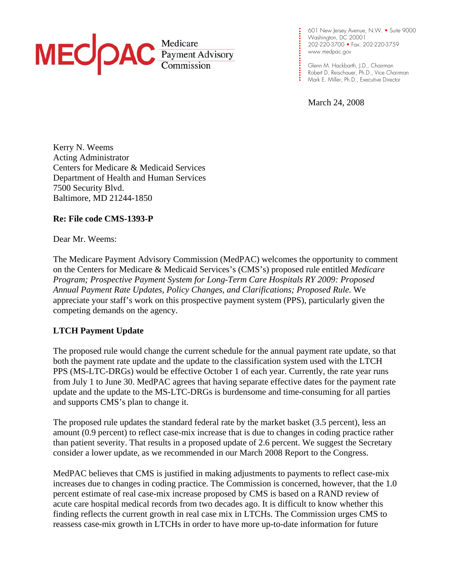## MEC *Payment Advisory*

**. . . .**  202-220-3700 • Fax: 202-220-3759 **. . .**  www.medpac.gov 601 New Jersey Avenue, N.W. • Suite 9000 Washington, DC 20001

**. .** Mark E. Miller, Ph.D., Executive Director Glenn M. Hackbarth, J.D., Chairman Robert D. Reischauer, Ph.D., Vice Chairman

March 24, 2008

**. . . . .** 

**. . . . . . . .** 

 Kerry N. Weems Acting Administrator Centers for Medicare & Medicaid Services Department of Health and Human Services 7500 Security Blvd. Baltimore, MD 21244-1850

## **Re: File code CMS-1393-P**

Dear Mr. Weems:

 The Medicare Payment Advisory Commission (MedPAC) welcomes the opportunity to comment on the Centers for Medicare & Medicaid Services's (CMS's) proposed rule entitled *Medicare Program; Prospective Payment System for Long-Term Care Hospitals RY 2009: Proposed Annual Payment Rate Updates, Policy Changes, and Clarifications; Proposed Rule.* We appreciate your staff's work on this prospective payment system (PPS), particularly given the competing demands on the agency.

## **LTCH Payment Update**

 The proposed rule would change the current schedule for the annual payment rate update, so that both the payment rate update and the update to the classification system used with the LTCH PPS (MS-LTC-DRGs) would be effective October 1 of each year. Currently, the rate year runs from July 1 to June 30. MedPAC agrees that having separate effective dates for the payment rate update and the update to the MS-LTC-DRGs is burdensome and time-consuming for all parties and supports CMS's plan to change it.

 The proposed rule updates the standard federal rate by the market basket (3.5 percent), less an amount (0.9 percent) to reflect case-mix increase that is due to changes in coding practice rather than patient severity. That results in a proposed update of 2.6 percent. We suggest the Secretary consider a lower update, as we recommended in our March 2008 Report to the Congress.

 MedPAC believes that CMS is justified in making adjustments to payments to reflect case-mix increases due to changes in coding practice. The Commission is concerned, however, that the 1.0 percent estimate of real case-mix increase proposed by CMS is based on a RAND review of acute care hospital medical records from two decades ago. It is difficult to know whether this finding reflects the current growth in real case mix in LTCHs. The Commission urges CMS to reassess case-mix growth in LTCHs in order to have more up-to-date information for future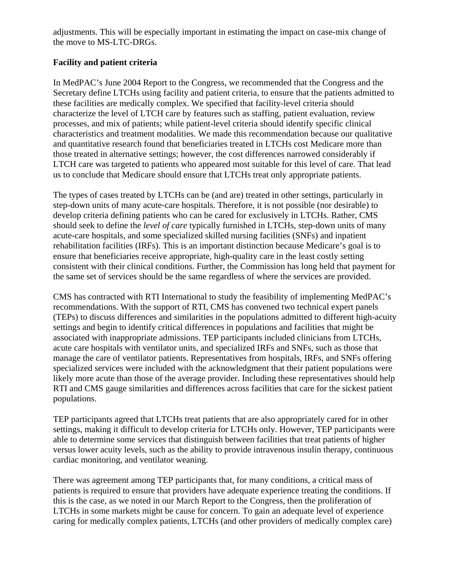adjustments. This will be especially important in estimating the impact on case-mix change of the move to MS-LTC-DRGs.

## **Facility and patient criteria**

 In MedPAC's June 2004 Report to the Congress, we recommended that the Congress and the Secretary define LTCHs using facility and patient criteria, to ensure that the patients admitted to these facilities are medically complex. We specified that facility-level criteria should characterize the level of LTCH care by features such as staffing, patient evaluation, review processes, and mix of patients; while patient-level criteria should identify specific clinical characteristics and treatment modalities. We made this recommendation because our qualitative and quantitative research found that beneficiaries treated in LTCHs cost Medicare more than those treated in alternative settings; however, the cost differences narrowed considerably if LTCH care was targeted to patients who appeared most suitable for this level of care. That lead us to conclude that Medicare should ensure that LTCHs treat only appropriate patients.

 The types of cases treated by LTCHs can be (and are) treated in other settings, particularly in step-down units of many acute-care hospitals. Therefore, it is not possible (nor desirable) to develop criteria defining patients who can be cared for exclusively in LTCHs. Rather, CMS should seek to define the *level of care* typically furnished in LTCHs, step-down units of many acute-care hospitals, and some specialized skilled nursing facilities (SNFs) and inpatient rehabilitation facilities (IRFs). This is an important distinction because Medicare's goal is to ensure that beneficiaries receive appropriate, high-quality care in the least costly setting consistent with their clinical conditions. Further, the Commission has long held that payment for the same set of services should be the same regardless of where the services are provided.

 CMS has contracted with RTI International to study the feasibility of implementing MedPAC's recommendations. With the support of RTI, CMS has convened two technical expert panels (TEPs) to discuss differences and similarities in the populations admitted to different high-acuity settings and begin to identify critical differences in populations and facilities that might be associated with inappropriate admissions. TEP participants included clinicians from LTCHs, acute care hospitals with ventilator units, and specialized IRFs and SNFs, such as those that manage the care of ventilator patients. Representatives from hospitals, IRFs, and SNFs offering specialized services were included with the acknowledgment that their patient populations were likely more acute than those of the average provider. Including these representatives should help RTI and CMS gauge similarities and differences across facilities that care for the sickest patient populations.

 TEP participants agreed that LTCHs treat patients that are also appropriately cared for in other settings, making it difficult to develop criteria for LTCHs only. However, TEP participants were able to determine some services that distinguish between facilities that treat patients of higher versus lower acuity levels, such as the ability to provide intravenous insulin therapy, continuous cardiac monitoring, and ventilator weaning.

 There was agreement among TEP participants that, for many conditions, a critical mass of patients is required to ensure that providers have adequate experience treating the conditions. If this is the case, as we noted in our March Report to the Congress, then the proliferation of LTCHs in some markets might be cause for concern. To gain an adequate level of experience caring for medically complex patients, LTCHs (and other providers of medically complex care)